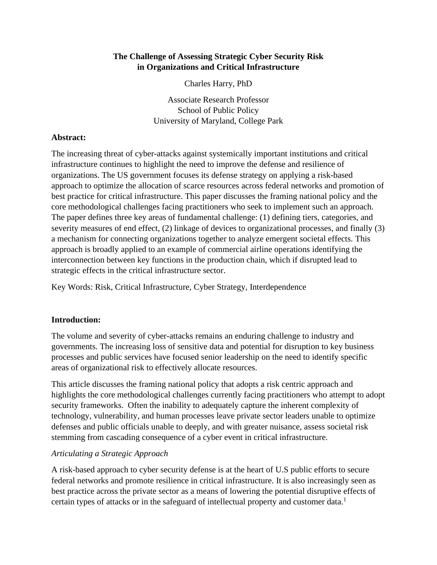# **The Challenge of Assessing Strategic Cyber Security Risk in Organizations and Critical Infrastructure**

Charles Harry, PhD

Associate Research Professor School of Public Policy University of Maryland, College Park

### **Abstract:**

The increasing threat of cyber-attacks against systemically important institutions and critical infrastructure continues to highlight the need to improve the defense and resilience of organizations. The US government focuses its defense strategy on applying a risk-based approach to optimize the allocation of scarce resources across federal networks and promotion of best practice for critical infrastructure. This paper discusses the framing national policy and the core methodological challenges facing practitioners who seek to implement such an approach. The paper defines three key areas of fundamental challenge: (1) defining tiers, categories, and severity measures of end effect, (2) linkage of devices to organizational processes, and finally (3) a mechanism for connecting organizations together to analyze emergent societal effects. This approach is broadly applied to an example of commercial airline operations identifying the interconnection between key functions in the production chain, which if disrupted lead to strategic effects in the critical infrastructure sector.

Key Words: Risk, Critical Infrastructure, Cyber Strategy, Interdependence

### **Introduction:**

The volume and severity of cyber-attacks remains an enduring challenge to industry and governments. The increasing loss of sensitive data and potential for disruption to key business processes and public services have focused senior leadership on the need to identify specific areas of organizational risk to effectively allocate resources.

This article discusses the framing national policy that adopts a risk centric approach and highlights the core methodological challenges currently facing practitioners who attempt to adopt security frameworks. Often the inability to adequately capture the inherent complexity of technology, vulnerability, and human processes leave private sector leaders unable to optimize defenses and public officials unable to deeply, and with greater nuisance, assess societal risk stemming from cascading consequence of a cyber event in critical infrastructure.

### *Articulating a Strategic Approach*

A risk-based approach to cyber security defense is at the heart of U.S public efforts to secure federal networks and promote resilience in critical infrastructure. It is also increasingly seen as best practice across the private sector as a means of lowering the potential disruptive effects of certain types of attacks or in the safeguard of intellectual property and customer data. 1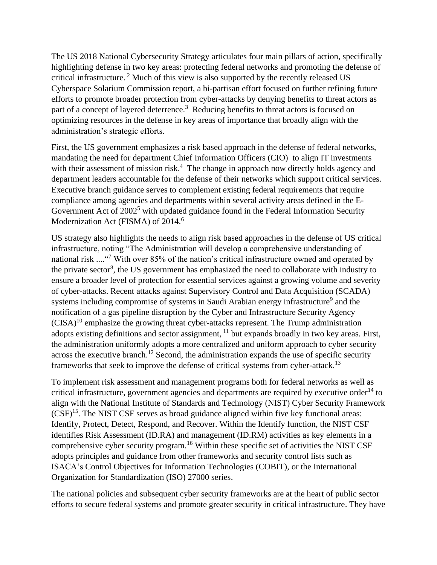The US 2018 National Cybersecurity Strategy articulates four main pillars of action, specifically highlighting defense in two key areas: protecting federal networks and promoting the defense of critical infrastructure. <sup>2</sup> Much of this view is also supported by the recently released US Cyberspace Solarium Commission report, a bi-partisan effort focused on further refining future efforts to promote broader protection from cyber-attacks by denying benefits to threat actors as part of a concept of layered deterrence.<sup>3</sup> Reducing benefits to threat actors is focused on optimizing resources in the defense in key areas of importance that broadly align with the administration's strategic efforts.

First, the US government emphasizes a risk based approach in the defense of federal networks, mandating the need for department Chief Information Officers (CIO) to align IT investments with their assessment of mission risk.<sup>4</sup> The change in approach now directly holds agency and department leaders accountable for the defense of their networks which support critical services. Executive branch guidance serves to complement existing federal requirements that require compliance among agencies and departments within several activity areas defined in the E-Government Act of 2002<sup>5</sup> with updated guidance found in the Federal Information Security Modernization Act (FISMA) of 2014.<sup>6</sup>

US strategy also highlights the needs to align risk based approaches in the defense of US critical infrastructure, noting "The Administration will develop a comprehensive understanding of national risk ....<sup>47</sup> With over 85% of the nation's critical infrastructure owned and operated by the private sector<sup>8</sup>, the US government has emphasized the need to collaborate with industry to ensure a broader level of protection for essential services against a growing volume and severity of cyber-attacks. Recent attacks against Supervisory Control and Data Acquisition (SCADA) systems including compromise of systems in Saudi Arabian energy infrastructure<sup>9</sup> and the notification of a gas pipeline disruption by the Cyber and Infrastructure Security Agency  $(CISA)^{10}$  emphasize the growing threat cyber-attacks represent. The Trump administration adopts existing definitions and sector assignment, <sup>11</sup> but expands broadly in two key areas. First, the administration uniformly adopts a more centralized and uniform approach to cyber security across the executive branch.<sup>12</sup> Second, the administration expands the use of specific security frameworks that seek to improve the defense of critical systems from cyber-attack.<sup>13</sup>

To implement risk assessment and management programs both for federal networks as well as critical infrastructure, government agencies and departments are required by executive order<sup>14</sup> to align with the National Institute of Standards and Technology (NIST) Cyber Security Framework (CSF)<sup>15</sup>. The NIST CSF serves as broad guidance aligned within five key functional areas: Identify, Protect, Detect, Respond, and Recover. Within the Identify function, the NIST CSF identifies Risk Assessment (ID.RA) and management (ID.RM) activities as key elements in a comprehensive cyber security program.<sup>16</sup> Within these specific set of activities the NIST CSF adopts principles and guidance from other frameworks and security control lists such as ISACA's Control Objectives for Information Technologies (COBIT), or the International Organization for Standardization (ISO) 27000 series.

The national policies and subsequent cyber security frameworks are at the heart of public sector efforts to secure federal systems and promote greater security in critical infrastructure. They have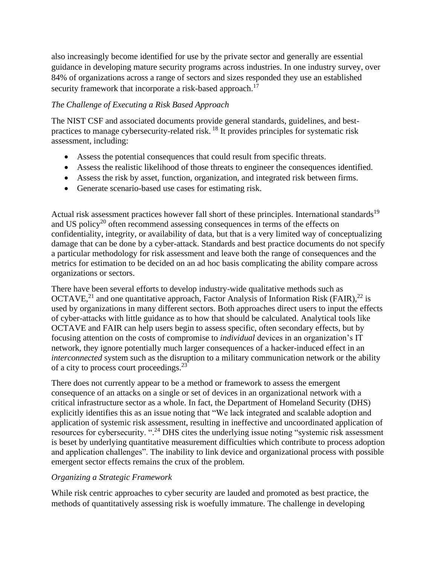also increasingly become identified for use by the private sector and generally are essential guidance in developing mature security programs across industries. In one industry survey, over 84% of organizations across a range of sectors and sizes responded they use an established security framework that incorporate a risk-based approach.<sup>17</sup>

## *The Challenge of Executing a Risk Based Approach*

The NIST CSF and associated documents provide general standards, guidelines, and bestpractices to manage cybersecurity-related risk.<sup>18</sup> It provides principles for systematic risk assessment, including:

- Assess the potential consequences that could result from specific threats.
- Assess the realistic likelihood of those threats to engineer the consequences identified.
- Assess the risk by asset, function, organization, and integrated risk between firms.
- Generate scenario-based use cases for estimating risk.

Actual risk assessment practices however fall short of these principles. International standards<sup>19</sup> and US policy<sup>20</sup> often recommend assessing consequences in terms of the effects on confidentiality, integrity, or availability of data, but that is a very limited way of conceptualizing damage that can be done by a cyber-attack. Standards and best practice documents do not specify a particular methodology for risk assessment and leave both the range of consequences and the metrics for estimation to be decided on an ad hoc basis complicating the ability compare across organizations or sectors.

There have been several efforts to develop industry-wide qualitative methods such as OCTAVE,<sup>21</sup> and one quantitative approach, Factor Analysis of Information Risk (FAIR),<sup>22</sup> is used by organizations in many different sectors. Both approaches direct users to input the effects of cyber-attacks with little guidance as to how that should be calculated. Analytical tools like OCTAVE and FAIR can help users begin to assess specific, often secondary effects, but by focusing attention on the costs of compromise to *individual* devices in an organization's IT network, they ignore potentially much larger consequences of a hacker-induced effect in an *interconnected* system such as the disruption to a military communication network or the ability of a city to process court proceedings.<sup>23</sup>

There does not currently appear to be a method or framework to assess the emergent consequence of an attacks on a single or set of devices in an organizational network with a critical infrastructure sector as a whole. In fact, the Department of Homeland Security (DHS) explicitly identifies this as an issue noting that "We lack integrated and scalable adoption and application of systemic risk assessment, resulting in ineffective and uncoordinated application of resources for cybersecurity. ".<sup>24</sup> DHS cites the underlying issue noting "systemic risk assessment is beset by underlying quantitative measurement difficulties which contribute to process adoption and application challenges". The inability to link device and organizational process with possible emergent sector effects remains the crux of the problem.

### *Organizing a Strategic Framework*

While risk centric approaches to cyber security are lauded and promoted as best practice, the methods of quantitatively assessing risk is woefully immature. The challenge in developing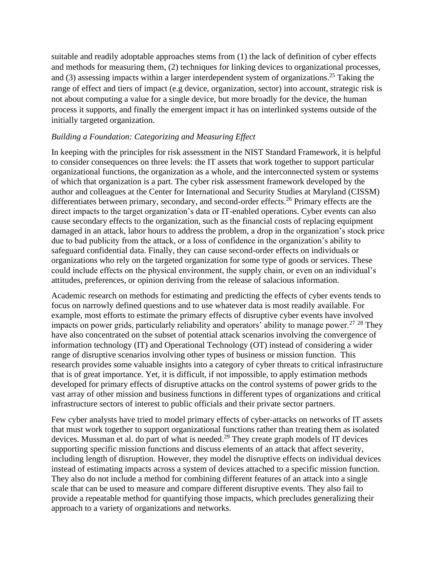suitable and readily adoptable approaches stems from (1) the lack of definition of cyber effects and methods for measuring them, (2) techniques for linking devices to organizational processes, and (3) assessing impacts within a larger interdependent system of organizations.<sup>25</sup> Taking the range of effect and tiers of impact (e.g device, organization, sector) into account, strategic risk is not about computing a value for a single device, but more broadly for the device, the human process it supports, and finally the emergent impact it has on interlinked systems outside of the initially targeted organization.

#### *Building a Foundation: Categorizing and Measuring Effect*

In keeping with the principles for risk assessment in the NIST Standard Framework, it is helpful to consider consequences on three levels: the IT assets that work together to support particular organizational functions, the organization as a whole, and the interconnected system or systems of which that organization is a part. The cyber risk assessment framework developed by the author and colleagues at the Center for International and Security Studies at Maryland (CISSM) differentiates between primary, secondary, and second-order effects.<sup>26</sup> Primary effects are the direct impacts to the target organization's data or IT-enabled operations. Cyber events can also cause secondary effects to the organization, such as the financial costs of replacing equipment damaged in an attack, labor hours to address the problem, a drop in the organization's stock price due to bad publicity from the attack, or a loss of confidence in the organization's ability to safeguard confidential data. Finally, they can cause second-order effects on individuals or organizations who rely on the targeted organization for some type of goods or services. These could include effects on the physical environment, the supply chain, or even on an individual's attitudes, preferences, or opinion deriving from the release of salacious information.

Academic research on methods for estimating and predicting the effects of cyber events tends to focus on narrowly defined questions and to use whatever data is most readily available. For example, most efforts to estimate the primary effects of disruptive cyber events have involved impacts on power grids, particularly reliability and operators' ability to manage power.<sup>27, 28</sup> They have also concentrated on the subset of potential attack scenarios involving the convergence of information technology (IT) and Operational Technology (OT) instead of considering a wider range of disruptive scenarios involving other types of business or mission function. This research provides some valuable insights into a category of cyber threats to critical infrastructure that is of great importance. Yet, it is difficult, if not impossible, to apply estimation methods developed for primary effects of disruptive attacks on the control systems of power grids to the vast array of other mission and business functions in different types of organizations and critical infrastructure sectors of interest to public officials and their private sector partners.

Few cyber analysts have tried to model primary effects of cyber-attacks on networks of IT assets that must work together to support organizational functions rather than treating them as isolated devices. Mussman et al. do part of what is needed.<sup>29</sup> They create graph models of IT devices supporting specific mission functions and discuss elements of an attack that affect severity, including length of disruption. However, they model the disruptive effects on individual devices instead of estimating impacts across a system of devices attached to a specific mission function. They also do not include a method for combining different features of an attack into a single scale that can be used to measure and compare different disruptive events. They also fail to provide a repeatable method for quantifying those impacts, which precludes generalizing their approach to a variety of organizations and networks.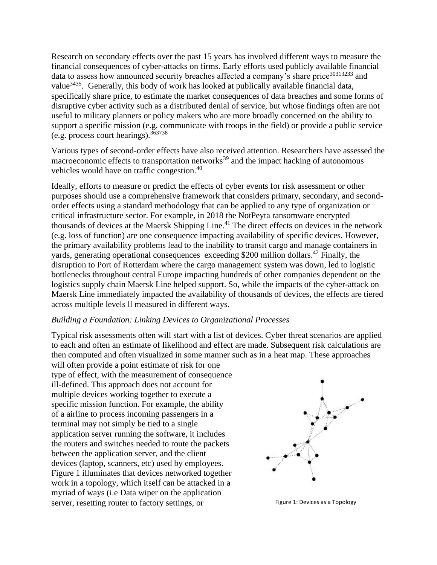Research on secondary effects over the past 15 years has involved different ways to measure the financial consequences of cyber-attacks on firms. Early efforts used publicly available financial data to assess how announced security breaches affected a company's share price<sup>30313233</sup> and value<sup>3435</sup>. Generally, this body of work has looked at publically available financial data, specifically share price, to estimate the market consequences of data breaches and some forms of disruptive cyber activity such as a distributed denial of service, but whose findings often are not useful to military planners or policy makers who are more broadly concerned on the ability to support a specific mission (e.g. communicate with troops in the field) or provide a public service (e.g. process court hearings).<sup>363738</sup>

Various types of second-order effects have also received attention. Researchers have assessed the macroeconomic effects to transportation networks $39$  and the impact hacking of autonomous vehicles would have on traffic congestion.<sup>40</sup>

Ideally, efforts to measure or predict the effects of cyber events for risk assessment or other purposes should use a comprehensive framework that considers primary, secondary, and secondorder effects using a standard methodology that can be applied to any type of organization or critical infrastructure sector. For example, in 2018 the NotPeyta ransomware encrypted thousands of devices at the Maersk Shipping Line.<sup>41</sup> The direct effects on devices in the network (e.g. loss of function) are one consequence impacting availability of specific devices. However, the primary availability problems lead to the inability to transit cargo and manage containers in yards, generating operational consequences exceeding \$200 million dollars.<sup>42</sup> Finally, the disruption to Port of Rotterdam where the cargo management system was down, led to logistic bottlenecks throughout central Europe impacting hundreds of other companies dependent on the logistics supply chain Maersk Line helped support. So, while the impacts of the cyber-attack on Maersk Line immediately impacted the availability of thousands of devices, the effects are tiered across multiple levels ll measured in different ways.

#### *Building a Foundation: Linking Devices to Organizational Processes*

Typical risk assessments often will start with a list of devices. Cyber threat scenarios are applied to each and often an estimate of likelihood and effect are made. Subsequent risk calculations are then computed and often visualized in some manner such as in a heat map. These approaches

will often provide a point estimate of risk for one type of effect, with the measurement of consequence ill-defined. This approach does not account for multiple devices working together to execute a specific mission function. For example, the ability of a airline to process incoming passengers in a terminal may not simply be tied to a single application server running the software, it includes the routers and switches needed to route the packets between the application server, and the client devices (laptop, scanners, etc) used by employees. Figure 1 illuminates that devices networked together work in a topology, which itself can be attacked in a myriad of ways (i.e Data wiper on the application server, resetting router to factory settings, or Figure 1: Devices as a Topology

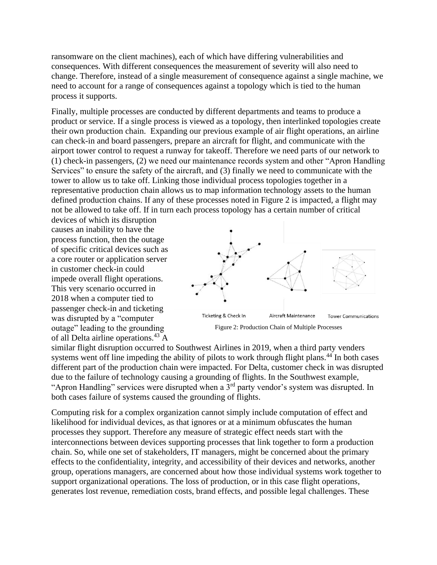ransomware on the client machines), each of which have differing vulnerabilities and consequences. With different consequences the measurement of severity will also need to change. Therefore, instead of a single measurement of consequence against a single machine, we need to account for a range of consequences against a topology which is tied to the human process it supports.

Finally, multiple processes are conducted by different departments and teams to produce a product or service. If a single process is viewed as a topology, then interlinked topologies create their own production chain. Expanding our previous example of air flight operations, an airline can check-in and board passengers, prepare an aircraft for flight, and communicate with the airport tower control to request a runway for takeoff. Therefore we need parts of our network to (1) check-in passengers, (2) we need our maintenance records system and other "Apron Handling Services" to ensure the safety of the aircraft, and (3) finally we need to communicate with the tower to allow us to take off. Linking those individual process topologies together in a representative production chain allows us to map information technology assets to the human defined production chains. If any of these processes noted in Figure 2 is impacted, a flight may not be allowed to take off. If in turn each process topology has a certain number of critical

devices of which its disruption causes an inability to have the process function, then the outage of specific critical devices such as a core router or application server in customer check-in could impede overall flight operations. This very scenario occurred in 2018 when a computer tied to passenger check-in and ticketing was disrupted by a "computer outage" leading to the grounding of all Delta airline operations.<sup>43</sup> A



Figure 2: Production Chain of Multiple Processes

similar flight disruption occurred to Southwest Airlines in 2019, when a third party venders systems went off line impeding the ability of pilots to work through flight plans.<sup>44</sup> In both cases different part of the production chain were impacted. For Delta, customer check in was disrupted due to the failure of technology causing a grounding of flights. In the Southwest example, "Apron Handling" services were disrupted when a  $3<sup>rd</sup>$  party vendor's system was disrupted. In both cases failure of systems caused the grounding of flights.

Computing risk for a complex organization cannot simply include computation of effect and likelihood for individual devices, as that ignores or at a minimum obfuscates the human processes they support. Therefore any measure of strategic effect needs start with the interconnections between devices supporting processes that link together to form a production chain. So, while one set of stakeholders, IT managers, might be concerned about the primary effects to the confidentiality, integrity, and accessibility of their devices and networks, another group, operations managers, are concerned about how those individual systems work together to support organizational operations. The loss of production, or in this case flight operations, generates lost revenue, remediation costs, brand effects, and possible legal challenges. These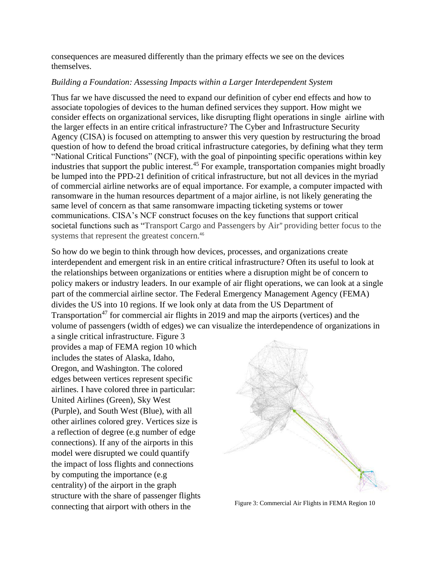consequences are measured differently than the primary effects we see on the devices themselves.

### *Building a Foundation: Assessing Impacts within a Larger Interdependent System*

Thus far we have discussed the need to expand our definition of cyber end effects and how to associate topologies of devices to the human defined services they support. How might we consider effects on organizational services, like disrupting flight operations in single airline with the larger effects in an entire critical infrastructure? The Cyber and Infrastructure Security Agency (CISA) is focused on attempting to answer this very question by restructuring the broad question of how to defend the broad critical infrastructure categories, by defining what they term "National Critical Functions" (NCF), with the goal of pinpointing specific operations within key industries that support the public interest.<sup>45</sup> For example, transportation companies might broadly be lumped into the PPD-21 definition of critical infrastructure, but not all devices in the myriad of commercial airline networks are of equal importance. For example, a computer impacted with ransomware in the human resources department of a major airline, is not likely generating the same level of concern as that same ransomware impacting ticketing systems or tower communications. CISA's NCF construct focuses on the key functions that support critical societal functions such as "Transport Cargo and Passengers by Air" providing better focus to the systems that represent the greatest concern. 46

So how do we begin to think through how devices, processes, and organizations create interdependent and emergent risk in an entire critical infrastructure? Often its useful to look at the relationships between organizations or entities where a disruption might be of concern to policy makers or industry leaders. In our example of air flight operations, we can look at a single part of the commercial airline sector. The Federal Emergency Management Agency (FEMA) divides the US into 10 regions. If we look only at data from the US Department of Transportation<sup>47</sup> for commercial air flights in 2019 and map the airports (vertices) and the volume of passengers (width of edges) we can visualize the interdependence of organizations in

a single critical infrastructure. Figure 3 provides a map of FEMA region 10 which includes the states of Alaska, Idaho, Oregon, and Washington. The colored edges between vertices represent specific airlines. I have colored three in particular: United Airlines (Green), Sky West (Purple), and South West (Blue), with all other airlines colored grey. Vertices size is a reflection of degree (e.g number of edge connections). If any of the airports in this model were disrupted we could quantify the impact of loss flights and connections by computing the importance (e.g centrality) of the airport in the graph structure with the share of passenger flights connecting that airport with others in the Figure 3: Commercial Air Flights in FEMA Region 10

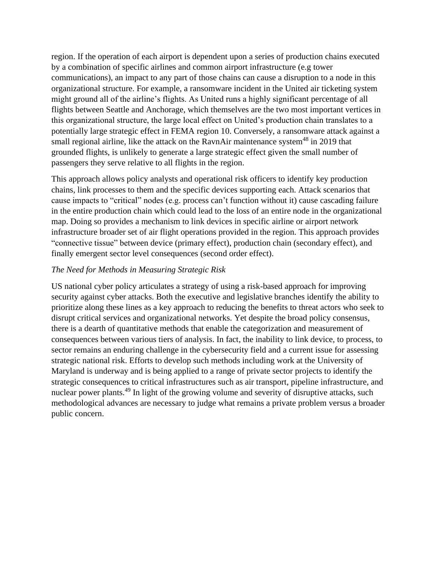region. If the operation of each airport is dependent upon a series of production chains executed by a combination of specific airlines and common airport infrastructure (e.g tower communications), an impact to any part of those chains can cause a disruption to a node in this organizational structure. For example, a ransomware incident in the United air ticketing system might ground all of the airline's flights. As United runs a highly significant percentage of all flights between Seattle and Anchorage, which themselves are the two most important vertices in this organizational structure, the large local effect on United's production chain translates to a potentially large strategic effect in FEMA region 10. Conversely, a ransomware attack against a small regional airline, like the attack on the RavnAir maintenance system<sup>48</sup> in 2019 that grounded flights, is unlikely to generate a large strategic effect given the small number of passengers they serve relative to all flights in the region.

This approach allows policy analysts and operational risk officers to identify key production chains, link processes to them and the specific devices supporting each. Attack scenarios that cause impacts to "critical" nodes (e.g. process can't function without it) cause cascading failure in the entire production chain which could lead to the loss of an entire node in the organizational map. Doing so provides a mechanism to link devices in specific airline or airport network infrastructure broader set of air flight operations provided in the region. This approach provides "connective tissue" between device (primary effect), production chain (secondary effect), and finally emergent sector level consequences (second order effect).

### *The Need for Methods in Measuring Strategic Risk*

US national cyber policy articulates a strategy of using a risk-based approach for improving security against cyber attacks. Both the executive and legislative branches identify the ability to prioritize along these lines as a key approach to reducing the benefits to threat actors who seek to disrupt critical services and organizational networks. Yet despite the broad policy consensus, there is a dearth of quantitative methods that enable the categorization and measurement of consequences between various tiers of analysis. In fact, the inability to link device, to process, to sector remains an enduring challenge in the cybersecurity field and a current issue for assessing strategic national risk. Efforts to develop such methods including work at the University of Maryland is underway and is being applied to a range of private sector projects to identify the strategic consequences to critical infrastructures such as air transport, pipeline infrastructure, and nuclear power plants.<sup>49</sup> In light of the growing volume and severity of disruptive attacks, such methodological advances are necessary to judge what remains a private problem versus a broader public concern.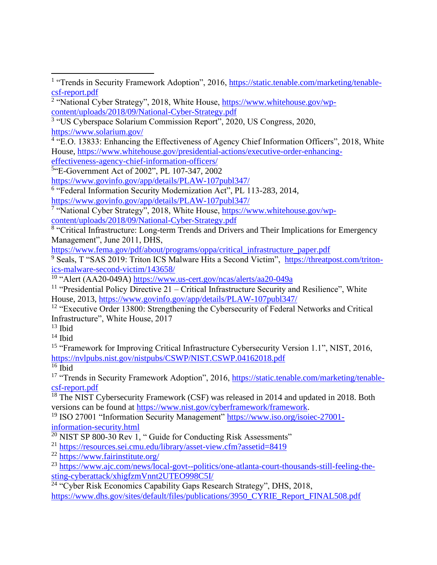```
5
"E-Government Act of 2002", PL 107-347, 2002
```
<https://www.govinfo.gov/app/details/PLAW-107publ347/>

<sup>6</sup> "Federal Information Security Modernization Act", PL 113-283, 2014,

<https://www.govinfo.gov/app/details/PLAW-107publ347/>

<sup>7</sup> "National Cyber Strategy", 2018, White House, [https://www.whitehouse.gov/wp](https://www.whitehouse.gov/wp-content/uploads/2018/09/National-Cyber-Strategy.pdf)[content/uploads/2018/09/National-Cyber-Strategy.pdf](https://www.whitehouse.gov/wp-content/uploads/2018/09/National-Cyber-Strategy.pdf)

<sup>8</sup> "Critical Infrastructure: Long-term Trends and Drivers and Their Implications for Emergency Management", June 2011, DHS,

[https://www.fema.gov/pdf/about/programs/oppa/critical\\_infrastructure\\_paper.pdf](https://www.fema.gov/pdf/about/programs/oppa/critical_infrastructure_paper.pdf)

<sup>9</sup> Seals, T "SAS 2019: Triton ICS Malware Hits a Second Victim", [https://threatpost.com/triton](https://threatpost.com/triton-ics-malware-second-victim/143658/)[ics-malware-second-victim/143658/](https://threatpost.com/triton-ics-malware-second-victim/143658/)

<sup>10</sup> "Alert (AA20-049A)<https://www.us-cert.gov/ncas/alerts/aa20-049a>

<sup>11</sup> "Presidential Policy Directive  $21$  – Critical Infrastructure Security and Resilience", White House, 2013,<https://www.govinfo.gov/app/details/PLAW-107publ347/>

<sup>12</sup> "Executive Order 13800: Strengthening the Cybersecurity of Federal Networks and Critical Infrastructure", White House, 2017

 $13$  Ibid

 $14$  Ibid

<sup>15</sup> "Framework for Improving Critical Infrastructure Cybersecurity Version 1.1", NIST, 2016, <https://nvlpubs.nist.gov/nistpubs/CSWP/NIST.CSWP.04162018.pdf>

 $16$  Ibid

<sup>17</sup> "Trends in Security Framework Adoption", 2016, [https://static.tenable.com/marketing/tenable](https://static.tenable.com/marketing/tenable-csf-report.pdf)[csf-report.pdf](https://static.tenable.com/marketing/tenable-csf-report.pdf)

<sup>18</sup> The NIST Cybersecurity Framework (CSF) was released in 2014 and updated in 2018. Both versions can be found at [https://www.nist.gov/cyberframework/framework.](https://www.nist.gov/cyberframework/framework)

<sup>19</sup> ISO 27001 "Information Security Management" [https://www.iso.org/isoiec-27001](https://www.iso.org/isoiec-27001-information-security.html) [information-security.html](https://www.iso.org/isoiec-27001-information-security.html)

 $20$  NIST SP 800-30 Rev 1, " Guide for Conducting Risk Assessments"

<sup>21</sup> <https://resources.sei.cmu.edu/library/asset-view.cfm?assetid=8419>

<sup>22</sup> <https://www.fairinstitute.org/>

<sup>23</sup> [https://www.ajc.com/news/local-govt--politics/one-atlanta-court-thousands-still-feeling-the](https://www.ajc.com/news/local-govt--politics/one-atlanta-court-thousands-still-feeling-the-sting-cyberattack/xhigfzmVnnt2UTEO998C5I/)[sting-cyberattack/xhigfzmVnnt2UTEO998C5I/](https://www.ajc.com/news/local-govt--politics/one-atlanta-court-thousands-still-feeling-the-sting-cyberattack/xhigfzmVnnt2UTEO998C5I/)

<sup>24</sup> "Cyber Risk Economics Capability Gaps Research Strategy", DHS, 2018, [https://www.dhs.gov/sites/default/files/publications/3950\\_CYRIE\\_Report\\_FINAL508.pdf](https://www.dhs.gov/sites/default/files/publications/3950_CYRIE_Report_FINAL508.pdf)

<sup>&</sup>lt;sup>1</sup> "Trends in Security Framework Adoption", 2016, [https://static.tenable.com/marketing/tenable](https://static.tenable.com/marketing/tenable-csf-report.pdf)[csf-report.pdf](https://static.tenable.com/marketing/tenable-csf-report.pdf)

<sup>&</sup>lt;sup>2</sup> "National Cyber Strategy", 2018, White House, [https://www.whitehouse.gov/wp](https://www.whitehouse.gov/wp-content/uploads/2018/09/National-Cyber-Strategy.pdf)[content/uploads/2018/09/National-Cyber-Strategy.pdf](https://www.whitehouse.gov/wp-content/uploads/2018/09/National-Cyber-Strategy.pdf)

<sup>&</sup>lt;sup>3</sup> "US Cyberspace Solarium Commission Report", 2020, US Congress, 2020, <https://www.solarium.gov/>

<sup>&</sup>lt;sup>4</sup> "E.O. 13833: Enhancing the Effectiveness of Agency Chief Information Officers", 2018, White House, [https://www.whitehouse.gov/presidential-actions/executive-order-enhancing](https://www.whitehouse.gov/presidential-actions/executive-order-enhancing-effectiveness-agency-chief-information-officers/)[effectiveness-agency-chief-information-officers/](https://www.whitehouse.gov/presidential-actions/executive-order-enhancing-effectiveness-agency-chief-information-officers/)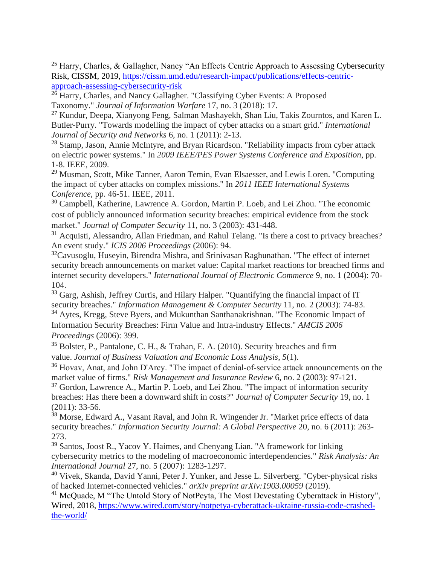<sup>25</sup> Harry, Charles, & Gallagher, Nancy "An Effects Centric Approach to Assessing Cybersecurity Risk, CISSM, 2019, [https://cissm.umd.edu/research-impact/publications/effects-centric](https://cissm.umd.edu/research-impact/publications/effects-centric-approach-assessing-cybersecurity-risk)[approach-assessing-cybersecurity-risk](https://cissm.umd.edu/research-impact/publications/effects-centric-approach-assessing-cybersecurity-risk)

<sup>26</sup> Harry, Charles, and Nancy Gallagher. "Classifying Cyber Events: A Proposed Taxonomy." *Journal of Information Warfare* 17, no. 3 (2018): 17.

<sup>27</sup> Kundur, Deepa, Xianyong Feng, Salman Mashayekh, Shan Liu, Takis Zourntos, and Karen L. Butler-Purry. "Towards modelling the impact of cyber attacks on a smart grid." *International Journal of Security and Networks* 6, no. 1 (2011): 2-13.

<sup>28</sup> Stamp, Jason, Annie McIntyre, and Bryan Ricardson. "Reliability impacts from cyber attack on electric power systems." In *2009 IEEE/PES Power Systems Conference and Exposition*, pp. 1-8. IEEE, 2009.

<sup>29</sup> Musman, Scott, Mike Tanner, Aaron Temin, Evan Elsaesser, and Lewis Loren. "Computing the impact of cyber attacks on complex missions." In *2011 IEEE International Systems Conference*, pp. 46-51. IEEE, 2011.

<sup>30</sup> Campbell, Katherine, Lawrence A. Gordon, Martin P. Loeb, and Lei Zhou. "The economic cost of publicly announced information security breaches: empirical evidence from the stock market." *Journal of Computer Security* 11, no. 3 (2003): 431-448.

<sup>31</sup> Acquisti, Alessandro, Allan Friedman, and Rahul Telang. "Is there a cost to privacy breaches? An event study." *ICIS 2006 Proceedings* (2006): 94.

<sup>32</sup>Cavusoglu, Huseyin, Birendra Mishra, and Srinivasan Raghunathan. "The effect of internet security breach announcements on market value: Capital market reactions for breached firms and internet security developers." *International Journal of Electronic Commerce* 9, no. 1 (2004): 70- 104.

<sup>33</sup> Garg, Ashish, Jeffrey Curtis, and Hilary Halper. "Quantifying the financial impact of IT security breaches." *Information Management & Computer Security* 11, no. 2 (2003): 74-83. <sup>34</sup> Aytes, Kregg, Steve Byers, and Mukunthan Santhanakrishnan. "The Economic Impact of Information Security Breaches: Firm Value and Intra-industry Effects." *AMCIS 2006 Proceedings* (2006): 399.

<sup>35</sup> Bolster, P., Pantalone, C. H., & Trahan, E. A. (2010). Security breaches and firm value. *Journal of Business Valuation and Economic Loss Analysis*, *5*(1).

<sup>36</sup> Hovav, Anat, and John D'Arcy. "The impact of denial-of-service attack announcements on the market value of firms." *Risk Management and Insurance Review* 6, no. 2 (2003): 97-121.

<sup>37</sup> Gordon, Lawrence A., Martin P. Loeb, and Lei Zhou. "The impact of information security breaches: Has there been a downward shift in costs?" *Journal of Computer Security* 19, no. 1 (2011): 33-56.

<sup>38</sup> Morse, Edward A., Vasant Raval, and John R. Wingender Jr. "Market price effects of data security breaches." *Information Security Journal: A Global Perspective* 20, no. 6 (2011): 263- 273.

<sup>39</sup> Santos, Joost R., Yacov Y. Haimes, and Chenyang Lian. "A framework for linking cybersecurity metrics to the modeling of macroeconomic interdependencies." *Risk Analysis: An International Journal* 27, no. 5 (2007): 1283-1297.

<sup>40</sup> Vivek, Skanda, David Yanni, Peter J. Yunker, and Jesse L. Silverberg. "Cyber-physical risks of hacked Internet-connected vehicles." *arXiv preprint arXiv:1903.00059* (2019).

<sup>41</sup> McQuade, M "The Untold Story of NotPeyta, The Most Devestating Cyberattack in History", Wired, 2018, [https://www.wired.com/story/notpetya-cyberattack-ukraine-russia-code-crashed](https://www.wired.com/story/notpetya-cyberattack-ukraine-russia-code-crashed-the-world/)[the-world/](https://www.wired.com/story/notpetya-cyberattack-ukraine-russia-code-crashed-the-world/)